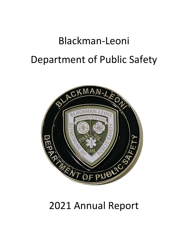# Blackman-Leoni Department of Public Safety



# 2021 Annual Report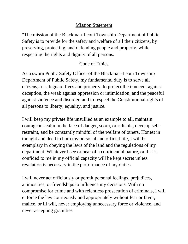#### Mission Statement

"The mission of the Blackman-Leoni Township Department of Public Safety is to provide for the safety and welfare of all their citizens, by preserving, protecting, and defending people and property, while respecting the rights and dignity of all persons.

# Code of Ethics

As a sworn Public Safety Officer of the Blackman-Leoni Township Department of Public Safety, my fundamental duty is to serve all citizens, to safeguard lives and property, to protect the innocent against deception, the weak against oppression or intimidation, and the peaceful against violence and disorder, and to respect the Constitutional rights of all persons to liberty, equality, and justice.

I will keep my private life unsullied as an example to all, maintain courageous calm in the face of danger, scorn, or ridicule, develop selfrestraint, and be constantly mindful of the welfare of others. Honest in thought and deed in both my personal and official life, I will be exemplary in obeying the laws of the land and the regulations of my department. Whatever I see or hear of a confidential nature, or that is confided to me in my official capacity will be kept secret unless revelation is necessary in the performance of my duties.

I will never act officiously or permit personal feelings, prejudices, animosities, or friendships to influence my decisions. With no compromise for crime and with relentless prosecution of criminals, I will enforce the law courteously and appropriately without fear or favor, malice, or ill will, never employing unnecessary force or violence, and never accepting gratuities.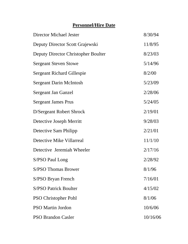# **Personnel/Hire Date**

| Director Michael Jester             | 8/30/94  |
|-------------------------------------|----------|
| Deputy Director Scott Grajewski     | 11/8/95  |
| Deputy Director Christopher Boulter | 8/23/03  |
| <b>Sergeant Steven Stowe</b>        | 5/14/96  |
| <b>Sergeant Richard Gillespie</b>   | 8/2/00   |
| <b>Sergeant Darin McIntosh</b>      | 5/23/09  |
| <b>Sergeant Jan Ganzel</b>          | 2/28/06  |
| <b>Sergeant James Prus</b>          | 5/24/05  |
| D/Sergeant Robert Shrock            | 2/19/01  |
| Detective Joseph Merritt            | 9/28/03  |
| Detective Sam Philipp               | 2/21/01  |
| Detective Mike Villarreal           | 11/1/10  |
| Detective Jeremiah Wheeler          | 2/17/16  |
| S/PSO Paul Long                     | 2/28/92  |
| <b>S/PSO Thomas Brower</b>          | 8/1/96   |
| S/PSO Bryan French                  | 7/16/01  |
| <b>S/PSO Patrick Boulter</b>        | 4/15/02  |
| <b>PSO Christopher Pohl</b>         | 8/1/06   |
| <b>PSO Martin Jordon</b>            | 10/6/06  |
| <b>PSO Brandon Casler</b>           | 10/16/06 |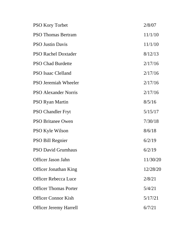| <b>PSO Kory Torbet</b>        | 2/8/07   |
|-------------------------------|----------|
| <b>PSO Thomas Bertram</b>     | 11/1/10  |
| <b>PSO Justin Davis</b>       | 11/1/10  |
| <b>PSO Rachel Doxtader</b>    | 8/12/13  |
| <b>PSO Chad Burdette</b>      | 2/17/16  |
| <b>PSO Isaac Clelland</b>     | 2/17/16  |
| <b>PSO Jeremiah Wheeler</b>   | 2/17/16  |
| <b>PSO Alexander Norris</b>   | 2/17/16  |
| <b>PSO Ryan Martin</b>        | 8/5/16   |
| <b>PSO Chandler Fryt</b>      | 5/15/17  |
| <b>PSO Britanee Owen</b>      | 7/30/18  |
| <b>PSO Kyle Wilson</b>        | 8/6/18   |
| <b>PSO Bill Regnier</b>       | 6/2/19   |
| <b>PSO David Grumhaus</b>     | 6/2/19   |
| Officer Jason Jahn            | 11/30/20 |
| <b>Officer Jonathan King</b>  | 12/28/20 |
| <b>Officer Rebecca Luce</b>   | 2/8/21   |
| <b>Officer Thomas Porter</b>  | 5/4/21   |
| <b>Officer Connor Kish</b>    | 5/17/21  |
| <b>Officer Jeremy Harrell</b> | 6/7/21   |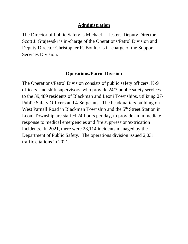#### **Administration**

The Director of Public Safety is Michael L. Jester. Deputy Director Scott J. Grajewski is in-charge of the Operations/Patrol Division and Deputy Director Christopher R. Boulter is in-charge of the Support Services Division.

#### **Operations/Patrol Division**

The Operations/Patrol Division consists of public safety officers, K-9 officers, and shift supervisors, who provide 24/7 public safety services to the 39,489 residents of Blackman and Leoni Townships, utilizing 27- Public Safety Officers and 4-Sergeants. The headquarters building on West Parnall Road in Blackman Township and the 5<sup>th</sup> Street Station in Leoni Township are staffed 24-hours per day, to provide an immediate response to medical emergencies and fire suppression/extrication incidents. In 2021, there were 28,114 incidents managed by the Department of Public Safety. The operations division issued 2,031 traffic citations in 2021.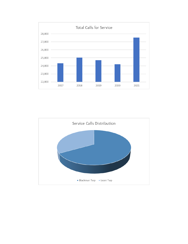![](_page_5_Figure_0.jpeg)

![](_page_5_Figure_1.jpeg)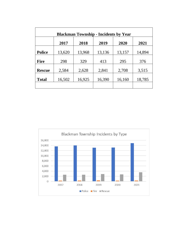| <b>Blackman Township - Incidents by Year</b> |        |        |        |        |        |  |
|----------------------------------------------|--------|--------|--------|--------|--------|--|
|                                              | 2017   | 2018   | 2019   | 2020   | 2021   |  |
| <b>Police</b>                                | 13,620 | 13,968 | 13,136 | 13,157 | 14,894 |  |
| <b>Fire</b>                                  | 298    | 329    | 413    | 295    | 376    |  |
| <b>Rescue</b>                                | 2,584  | 2,628  | 2,841  | 2,708  | 3,515  |  |
| <b>Total</b>                                 | 16,502 | 16,925 | 16,390 | 16,160 | 18,785 |  |
|                                              |        |        |        |        |        |  |

![](_page_6_Figure_1.jpeg)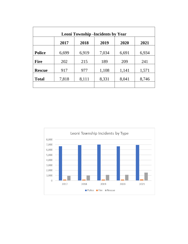| <b>Leoni Township -Incidents by Year</b> |       |       |       |       |       |  |
|------------------------------------------|-------|-------|-------|-------|-------|--|
|                                          | 2017  | 2018  | 2019  | 2020  | 2021  |  |
| <b>Police</b>                            | 6,699 | 6,919 | 7,034 | 6,691 | 6,934 |  |
| <b>Fire</b>                              | 202   | 215   | 189   | 209   | 241   |  |
| <b>Rescue</b>                            | 917   | 977   | 1,108 | 1,141 | 1,571 |  |
| <b>Total</b>                             | 7,818 | 8,111 | 8,331 | 8,041 | 8,746 |  |
|                                          |       |       |       |       |       |  |

![](_page_7_Figure_1.jpeg)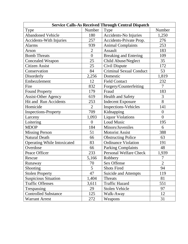| <b>Service Calls-As Received Through Central Dispatch</b> |                |                                |                  |  |  |
|-----------------------------------------------------------|----------------|--------------------------------|------------------|--|--|
| <b>Type</b>                                               | Number         | Type                           | Number           |  |  |
| <b>Abandoned Vehicle</b>                                  | 180            | Accidents-No Injuries          | 1,250            |  |  |
| <b>Accidents-With Injuries</b>                            | 257            | Accidents-Private Prop.        | 276              |  |  |
| <b>Alarms</b>                                             | 939            | <b>Animal Complaints</b>       | 253              |  |  |
| Arson                                                     | $\overline{2}$ | Assault                        | 183              |  |  |
| <b>Bomb Threats</b>                                       | $\overline{0}$ | <b>Breaking and Entering</b>   | 109              |  |  |
| <b>Concealed Weapon</b>                                   | 25             | Child Abuse/Neglect            | 35               |  |  |
| <b>Citizen Assist</b>                                     | 25             | Civil Dispute                  | 172              |  |  |
| Conservation                                              | 84             | <b>Criminal Sexual Conduct</b> | 53               |  |  |
| Disorderly                                                | 2,256          | Domestic                       | 1,819            |  |  |
| Embezzlement                                              | 12             | <b>Field Contact</b>           | 232              |  |  |
| Fire                                                      | 832            | Forgery/Counterfeiting         | $\overline{7}$   |  |  |
| <b>Found Property</b>                                     | 179            | Fraud                          | 183              |  |  |
| <b>Assist-Other Agency</b>                                | 619            | <b>Health and Safety</b>       | 3                |  |  |
| Hit and Run Accidents                                     | 253            | <b>Indecent Exposure</b>       | 8                |  |  |
| Homicide                                                  | $\overline{2}$ | <b>Inspections-Vehicles</b>    | 141              |  |  |
| <b>Inspections-Property</b>                               | 709            | Kidnapping                     | $\boldsymbol{0}$ |  |  |
| Larceny                                                   | 1,093          | <b>Liquor Violations</b>       | $\overline{0}$   |  |  |
| Loitering                                                 | $\overline{0}$ | Loud Music                     | 195              |  |  |
| <b>MDOP</b>                                               | 184            | Minors/Juveniles               | 6                |  |  |
| <b>Missing Person</b>                                     | 51             | <b>Motorist Assist</b>         | 388              |  |  |
| <b>Natural Death</b>                                      | 66             | <b>Obstructing Police</b>      | 63               |  |  |
| <b>Operating While Intoxicated</b>                        | 83             | <b>Ordinance Violation</b>     | 191              |  |  |
| Overdose                                                  | 66             | <b>Parking Complaints</b>      | 48               |  |  |
| Peace Officer                                             | 233            | <b>Personal Welfare Check</b>  | 1,939            |  |  |
| Rescue                                                    | 5,166          | Robbery                        | $\overline{7}$   |  |  |
| Runaway                                                   | 70             | Sex Offense                    | $\overline{2}$   |  |  |
| <b>Shooting</b>                                           | 5              | <b>Shots Fired</b>             | 94               |  |  |
| <b>Stolen Property</b>                                    | 47             | Suicide and Attempts           | 119              |  |  |
| <b>Suspicious Situation</b>                               | 1,404          | Threats                        | 81               |  |  |
| <b>Traffic Offenses</b>                                   | 3,611          | <b>Traffic Hazard</b>          | 551              |  |  |
| Trespassing                                               | 29             | <b>Stolen Vehicle</b>          | 97               |  |  |
| <b>Controlled Substance</b>                               | 125            | Walk-Away                      | 12               |  |  |
| <b>Warrant Arrest</b>                                     | 272            | Weapons                        | 31               |  |  |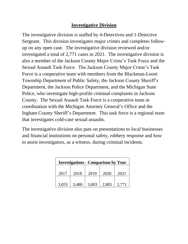#### **Investigative Division**

The investigative division is staffed by 4-Detectives and 1-Detective Sergeant. This division investigates major crimes and completes followup on any open case. The investigative division reviewed and/or investigated a total of 2,771 cases in 2021. The investigative division is also a member of the Jackson County Major Crime's Task Force and the Sexual Assault Task Force. The Jackson County Major Crime's Task Force is a cooperative team with members from the Blackman-Leoni Township Department of Public Safety, the Jackson County Sheriff's Department, the Jackson Police Department, and the Michigan State Police, who investigate high-profile criminal complaints in Jackson County. The Sexual Assault Task Force is a cooperative team in coordination with the Michigan Attorney General's Office and the Ingham County Sheriff's Department. This task force is a regional team that investigates cold-case sexual assaults.

The investigative division also puts on presentations to local businesses and financial institutions on personal safety, robbery response and how to assist investigators, as a witness, during criminal incidents.

| <b>Investigations - Comparison by Year</b> |       |       |       |       |  |
|--------------------------------------------|-------|-------|-------|-------|--|
| 2017                                       | 2018  | 2019  | 2020  | 2021  |  |
| 3,055                                      | 3,480 | 3,003 | 2,805 | 2,771 |  |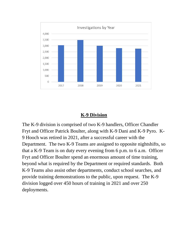![](_page_10_Figure_0.jpeg)

#### **K-9 Division**

The K-9 division is comprised of two K-9 handlers, Officer Chandler Fryt and Officer Patrick Boulter, along with K-9 Dani and K-9 Pyro. K-9 Hooch was retired in 2021, after a successful career with the Department. The two K-9 Teams are assigned to opposite nightshifts, so that a K-9 Team is on duty every evening from 6 p.m. to 6 a.m. Officer Fryt and Officer Boulter spend an enormous amount of time training, beyond what is required by the Department or required standards. Both K-9 Teams also assist other departments, conduct school searches, and provide training demonstrations to the public, upon request. The K-9 division logged over 450 hours of training in 2021 and over 250 deployments.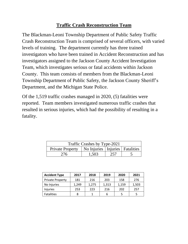## **Traffic Crash Reconstruction Team**

The Blackman-Leoni Township Department of Public Safety Traffic Crash Reconstruction Team is comprised of several officers, with varied levels of training. The department currently has three trained investigators who have been trained in Accident Reconstruction and has investigators assigned to the Jackson County Accident Investigation Team, which investigates serious or fatal accidents within Jackson County. This team consists of members from the Blackman-Leoni Township Department of Public Safety, the Jackson County Sheriff's Department, and the Michigan State Police.

Of the 1,519 traffic crashes managed in 2020, (5) fatalities were reported. Team members investigated numerous traffic crashes that resulted in serious injuries, which had the possibility of resulting in a fatality.

| Traffic Crashes by Type-2021                           |       |     |  |  |
|--------------------------------------------------------|-------|-----|--|--|
| Private Property   No Injuries   Injuries   Fatalities |       |     |  |  |
| 276                                                    | 1,503 | 257 |  |  |

| <b>Accident Type</b>    | 2017  | 2018  | 2019  | 2020  | 2021  |
|-------------------------|-------|-------|-------|-------|-------|
| <b>Private Property</b> | 181   | 216   | 203   | 158   | 276   |
| No Injuries             | 1,249 | 1,275 | 1,313 | 1,159 | 1,503 |
| <b>Injuries</b>         | 253   | 223   | 216   | 202   | 257   |
| <b>Fatalities</b>       | 8     |       | 6     | 5     |       |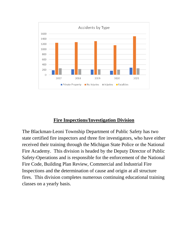![](_page_12_Figure_0.jpeg)

### **Fire Inspections/Investigation Division**

The Blackman-Leoni Township Department of Public Safety has two state certified fire inspectors and three fire investigators, who have either received their training through the Michigan State Police or the National Fire Academy. This division is headed by the Deputy Director of Public Safety-Operations and is responsible for the enforcement of the National Fire Code, Building Plan Review, Commercial and Industrial Fire Inspections and the determination of cause and origin at all structure fires. This division completes numerous continuing educational training classes on a yearly basis.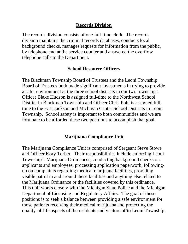#### **Records Division**

The records division consists of one full-time clerk. The records division maintains the criminal records databases, conducts local background checks, manages requests for information from the public, by telephone and at the service counter and answered the overflow telephone calls to the Department.

#### **School Resource Officers**

The Blackman Township Board of Trustees and the Leoni Township Board of Trustees both made significant investments in trying to provide a safer environment at the three school districts in our two townships. Officer Blake Hudson is assigned full-time to the Northwest School District in Blackman Township and Officer Chris Pohl is assigned fulltime to the East Jackson and Michigan Center School Districts in Leoni Township. School safety is important to both communities and we are fortunate to be afforded these two positions to accomplish that goal.

### **Marijuana Compliance Unit**

The Marijuana Compliance Unit is comprised of Sergeant Steve Stowe and Officer Kory Torbet. Their responsibilities include enforcing Leoni Township's Marijuana Ordinances, conducting background checks on applicants and employees, processing application paperwork, followingup on complaints regarding medical marijuana facilities, providing visible patrol in and around these facilities and anything else related to the Marijuana Ordinance or the facilities covered by this ordinance. This unit works closely with the Michigan State Police and the Michigan Department of Licensing and Regulatory Affairs. The goal of these positions is to seek a balance between providing a safe environment for those patients receiving their medical marijuana and protecting the quality-of-life aspects of the residents and visitors of/to Leoni Township.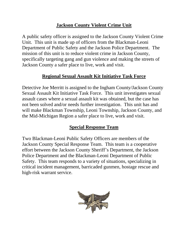## **Jackson County Violent Crime Unit**

A public safety officer is assigned to the Jackson County Violent Crime Unit. This unit is made up of officers from the Blackman-Leoni Department of Public Safety and the Jackson Police Department. The mission of this unit is to reduce violent crime in Jackson County, specifically targeting gang and gun violence and making the streets of Jackson County a safer place to live, work and visit.

### **Regional Sexual Assault Kit Initiative Task Force**

Detective Joe Merritt is assigned to the Ingham County/Jackson County Sexual Assault Kit Initiative Task Force. This unit investigates sexual assault cases where a sexual assault kit was obtained, but the case has not been solved and/or needs further investigation. This unit has and will make Blackman Township, Leoni Township, Jackson County, and the Mid-Michigan Region a safer place to live, work and visit.

### **Special Response Team**

Two Blackman-Leoni Public Safety Officers are members of the Jackson County Special Response Team. This team is a cooperative effort between the Jackson County Sheriff's Department, the Jackson Police Department and the Blackman-Leoni Department of Public Safety. This team responds to a variety of situations, specializing in critical incident management, barricaded gunmen, hostage rescue and high-risk warrant service.

![](_page_14_Picture_6.jpeg)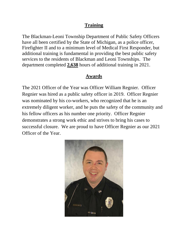### **Training**

The Blackman-Leoni Township Department of Public Safety Officers have all been certified by the State of Michigan, as a police officer, Firefighter II and to a minimum level of Medical First Responder, but additional training is fundamental in providing the best public safety services to the residents of Blackman and Leoni Townships. The department completed **2,638** hours of additional training in 2021.

### **Awards**

The 2021 Officer of the Year was Officer William Regnier. Officer Regnier was hired as a public safety officer in 2019. Officer Regnier was nominated by his co-workers, who recognized that he is an extremely diligent worker, and he puts the safety of the community and his fellow officers as his number one priority. Officer Regnier demonstrates a strong work ethic and strives to bring his cases to successful closure. We are proud to have Officer Regnier as our 2021 Officer of the Year.

![](_page_15_Picture_4.jpeg)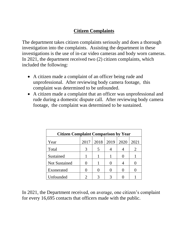# **Citizen Complaints**

The department takes citizen complaints seriously and does a thorough investigation into the complaints. Assisting the department in these investigations is the use of in-car video cameras and body worn cameras. In 2021, the department received two (2) citizen complaints, which included the following:

- A citizen made a complaint of an officer being rude and unprofessional. After reviewing body camera footage, this complaint was determined to be unfounded.
- A citizen made a complaint that an officer was unprofessional and rude during a domestic dispute call. After reviewing body camera footage, the complaint was determined to be sustained.

| <b>Citizen Complaint Comparison by Year</b> |      |      |      |      |      |
|---------------------------------------------|------|------|------|------|------|
| Year                                        | 2017 | 2018 | 2019 | 2020 | 2021 |
| Total                                       |      |      |      |      | 2    |
| Sustained                                   |      |      |      |      |      |
| <b>Not Sustained</b>                        |      |      |      |      |      |
| Exonerated                                  |      |      |      |      |      |
| Unfounded                                   |      |      |      |      |      |

In 2021, the Department received, on average, one citizen's complaint for every 16,695 contacts that officers made with the public.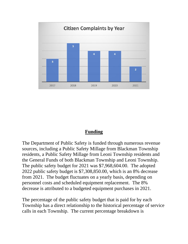![](_page_17_Figure_0.jpeg)

#### **Funding**

The Department of Public Safety is funded through numerous revenue sources, including a Public Safety Millage from Blackman Township residents, a Public Safety Millage from Leoni Township residents and the General Funds of both Blackman Township and Leoni Township. The public safety budget for 2021 was \$7,968,604.00. The adopted 2022 public safety budget is \$7,308,850.00, which is an 8% decrease from 2021. The budget fluctuates on a yearly basis, depending on personnel costs and scheduled equipment replacement. The 8% decrease is attributed to a budgeted equipment purchases in 2021.

The percentage of the public safety budget that is paid for by each Township has a direct relationship to the historical percentage of service calls in each Township. The current percentage breakdown is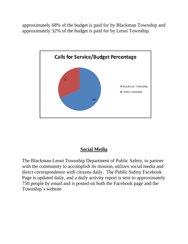approximately 68% of the budget is paid for by Blackman Township and approximately 32% of the budget is paid for by Leoni Township.

![](_page_18_Figure_1.jpeg)

### **Social Media**

The Blackman-Leoni Township Department of Public Safety, to partner with the community to accomplish its mission, utilizes social media and direct correspondence with citizens daily. The Public Safety Facebook Page is updated daily, and a daily activity report is sent to approximately 750 people by email and is posted on both the Facebook page and the Township's website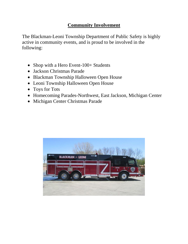## **Community Involvement**

The Blackman-Leoni Township Department of Public Safety is highly active in community events, and is proud to be involved in the following:

- Shop with a Hero Event-100+ Students
- Jackson Christmas Parade
- Blackman Township Halloween Open House
- Leoni Township Halloween Open House
- Toys for Tots
- Homecoming Parades-Northwest, East Jackson, Michigan Center
- Michigan Center Christmas Parade

![](_page_19_Picture_9.jpeg)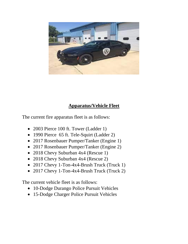![](_page_20_Picture_0.jpeg)

### **Apparatus/Vehicle Fleet**

The current fire apparatus fleet is as follows:

- 2003 Pierce 100 ft. Tower (Ladder 1)
- 1990 Pierce 65 ft. Tele-Squirt (Ladder 2)
- 2017 Rosenbauer Pumper/Tanker (Engine 1)
- 2017 Rosenbauer Pumper/Tanker (Engine 2)
- 2018 Chevy Suburban 4x4 (Rescue 1)
- 2018 Chevy Suburban 4x4 (Rescue 2)
- 2017 Chevy 1-Ton-4x4-Brush Truck (Truck 1)
- 2017 Chevy 1-Ton-4x4-Brush Truck (Truck 2)

The current vehicle fleet is as follows:

- 10-Dodge Durango Police Pursuit Vehicles
- 15-Dodge Charger Police Pursuit Vehicles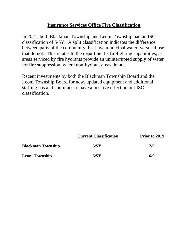#### **Insurance Services Office Fire Classification**

In 2021, both Blackman Township and Leoni Township had an ISO classification of 5/5Y. A split classification indicates the difference between parts of the community that have municipal water, versus those that do not. This relates to the department's firefighting capabilities, as areas serviced by fire hydrants provide an uninterrupted supply of water for fire suppression, where non-hydrant areas do not.

Recent investments by both the Blackman Township Board and the Leoni Township Board for new, updated equipment and additional staffing has and continues to have a positive effect on our ISO classification.

|                          | <b>Current Classification</b> | Prior to 2019 |
|--------------------------|-------------------------------|---------------|
| <b>Blackman Township</b> | 5/5Y                          | 7/9           |
| <b>Leoni Township</b>    | 5/5Y                          | 6/9           |